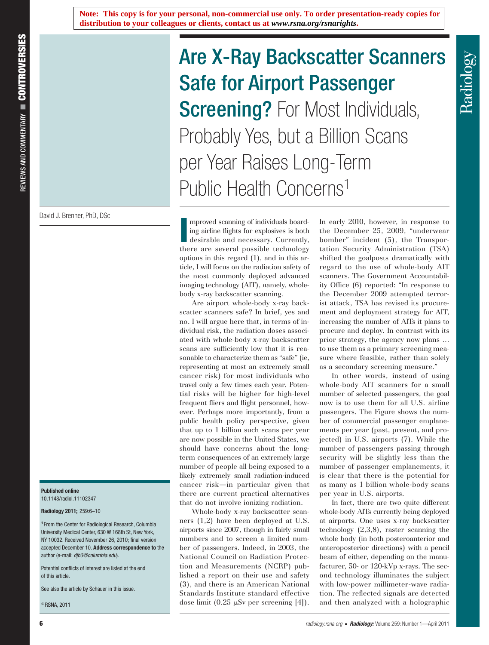**Note: This copy is for your personal, non-commercial use only. To order presentation-ready copies for distribution to your colleagues or clients, contact us at** *www.rsna.org/rsnarights***.** 

David J. Brenner, PhD, DSc

## **Published online** 10.1148/radiol.11102347

**Radiology 2011;** 259:6–10

**<sup>1</sup>** From the Center for Radiological Research, Columbia University Medical Center, 630 W 168th St, New York, NY 10032. Received November 26, 2010; final version accepted December 10. **Address correspondence to** the author (e-mail: *djb3@columbia.edu* ).

Potential conflicts of interest are listed at the end of this article.

See also the article by Schauer in this issue.

 $^{\circ}$  RSNA, 2011

# Are X-Ray Backscatter Scanners Safe for Airport Passenger **Screening?** For Most Individuals, Probably Yes, but a Billion Scans per Year Raises Long-Term Public Health Concerns<sup>1</sup>

Improved scanning of individuals boarding airline flights for explosives is both desirable and necessary. Currently, there are several possible technology mproved scanning of individuals boarding airline flights for explosives is both desirable and necessary. Currently, options in this regard  $(1)$ , and in this article, I will focus on the radiation safety of the most commonly deployed advanced imaging technology (AIT), namely, wholebody x-ray backscatter scanning.

Are airport whole-body x-ray backscatter scanners safe? In brief, yes and no. I will argue here that, in terms of individual risk, the radiation doses associated with whole-body x-ray backscatter scans are sufficiently low that it is reasonable to characterize them as "safe" (ie, representing at most an extremely small cancer risk) for most individuals who travel only a few times each year. Potential risks will be higher for high-level frequent fliers and flight personnel, however. Perhaps more importantly, from a public health policy perspective, given that up to 1 billion such scans per year are now possible in the United States, we should have concerns about the longterm consequences of an extremely large number of people all being exposed to a likely extremely small radiation-induced cancer risk—in particular given that there are current practical alternatives that do not involve ionizing radiation.

Whole-body x-ray backscatter scanners  $(1,2)$  have been deployed at U.S. airports since 2007, though in fairly small numbers and to screen a limited number of passengers. Indeed, in 2003, the National Council on Radiation Protection and Measurements(NCRP) published a report on their use and safety (3), and there is an American National Standards Institute standard effective dose limit  $(0.25 \mu Sv)$  per screening [4].

In early 2010, however, in response to the December 25, 2009, "underwear bomber" incident (5), the Transportation Security Administration (TSA) shifted the goalposts dramatically with regard to the use of whole-body AIT scanners. The Government Accountability Office (6) reported: "In response to the December 2009 attempted terrorist attack, TSA has revised its procurement and deployment strategy for AIT, increasing the number of AITs it plans to procure and deploy. In contrast with its prior strategy, the agency now plans … to use them as a primary screening measure where feasible, rather than solely as a secondary screening measure."

Radiology

In other words, instead of using whole-body AIT scanners for a small number of selected passengers, the goal now is to use them for all U.S. airline passengers. The Figure shows the number of commercial passenger emplanements per year (past, present, and projected) in U.S. airports (7). While the number of passengers passing through security will be slightly less than the number of passenger emplanements, it is clear that there is the potential for as many as 1 billion whole-body scans per year in U.S. airports.

In fact, there are two quite different whole-body AITs currently being deployed at airports. One uses x-ray backscatter technology  $(2,3,8)$ , raster scanning the whole body (in both posteroanterior and anteroposterior directions) with a pencil beam of either, depending on the manufacturer, 50- or 120-kVp x-rays. The second technology illuminates the subject with low-power millimeter-wave radiation. The reflected signals are detected and then analyzed with a holographic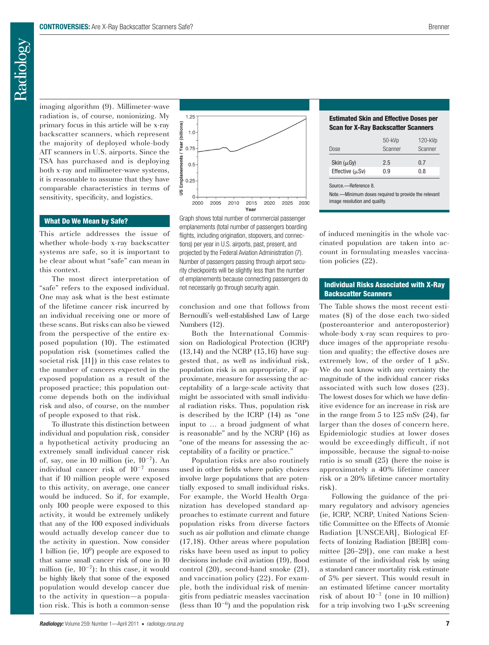imaging algorithm (9). Millimeter-wave radiation is, of course, nonionizing. My primary focus in this article will be x-ray backscatter scanners, which represent the majority of deployed whole-body AIT scanners in U.S. airports. Since the TSA has purchased and is deploying both x-ray and millimeter-wave systems, it is reasonable to assume that they have comparable characteristics in terms of sensitivity, specificity, and logistics.

## **What Do We Mean by Safe?**

This article addresses the issue of whether whole-body x-ray backscatter systems are safe, so it is important to be clear about what "safe" can mean in this context.

The most direct interpretation of "safe" refers to the exposed individual. One may ask what is the best estimate of the lifetime cancer risk incurred by an individual receiving one or more of these scans. But risks can also be viewed from the perspective of the entire exposed population (10). The estimated population risk (sometimes called the societal risk [11]) in this case relates to the number of cancers expected in the exposed population as a result of the proposed practice; this population outcome depends both on the individual risk and also, of course, on the number of people exposed to that risk.

To illustrate this distinction between individual and population risk, consider a hypothetical activity producing an extremely small individual cancer risk of, say, one in 10 million (ie,  $10^{-7}$ ). An individual cancer risk of  $10^{-7}$  means that if 10 million people were exposed to this activity, on average, one cancer would be induced. So if, for example, only 100 people were exposed to this activity, it would be extremely unlikely that any of the 100 exposed individuals would actually develop cancer due to the activity in question. Now consider 1 billion (ie,  $10<sup>9</sup>$ ) people are exposed to that same small cancer risk of one in 10 million (ie,  $10^{-7}$ ): In this case, it would be highly likely that some of the exposed population would develop cancer due to the activity in question—a population risk. This is both a common-sense



 Graph shows total number of commercial passenger emplanements (total number of passengers boarding flights, including origination, stopovers, and connections) per year in U.S. airports, past, present, and projected by the Federal Aviation Administration (7). Number of passengers passing through airport security checkpoints will be slightly less than the number of emplanements because connecting passengers do not necessarily go through security again.

conclusion and one that follows from Bernoulli's well-established Law of Large Numbers  $(12)$ .

Both the International Commission on Radiological Protection (ICRP)  $(13,14)$  and the NCRP  $(15,16)$  have suggested that, as well as individual risk, population risk is an appropriate, if approximate, measure for assessing the acceptability of a large-scale activity that might be associated with small individual radiation risks. Thus, population risk is described by the ICRP (14) as "one input to … a broad judgment of what is reasonable" and by the NCRP (16) as "one of the means for assessing the acceptability of a facility or practice."

Population risks are also routinely used in other fields where policy choices involve large populations that are potentially exposed to small individual risks. For example, the World Health Organization has developed standard approaches to estimate current and future population risks from diverse factors such as air pollution and climate change  $(17,18)$ . Other areas where population risks have been used as input to policy decisions include civil aviation (19), flood control  $(20)$ , second-hand smoke  $(21)$ , and vaccination policy  $(22)$ . For example, both the individual risk of meningitis from pediatric measles vaccination (less than  $10^{-6}$ ) and the population risk

### **Estimated Skin and Effective Doses per Scan for X-Ray Backscatter Scanners**

| Dose                 | $50 - kVp$<br>Scanner | $120 - kVp$<br>Scanner |
|----------------------|-----------------------|------------------------|
| Skin $(\mu Gy)$      | 2.5                   | 0.7                    |
| Effective $(\mu Sv)$ | 0.9                   | 0.8                    |
|                      |                       |                        |

Source.—Reference 8.

Note.—Minimum doses required to provide the relevant image resolution and quality.

of induced meningitis in the whole vaccinated population are taken into account in formulating measles vaccination policies  $(22)$ .

# **Individual Risks Associated with X-Ray Backscatter Scanners**

The Table shows the most recent estimates (8) of the dose each two-sided (posteroanterior and anteroposterior) whole-body x-ray scan requires to produce images of the appropriate resolution and quality; the effective doses are extremely low, of the order of 1  $\mu Sv$ . We do not know with any certainty the magnitude of the individual cancer risks associated with such low doses (23). The lowest doses for which we have definitive evidence for an increase in risk are in the range from  $5$  to  $125$  mSv  $(24)$ , far larger than the doses of concern here. Epidemiologic studies at lower doses would be exceedingly difficult, if not impossible, because the signal-to-noise ratio is so small  $(25)$  (here the noise is approximately a 40% lifetime cancer risk or a 20% lifetime cancer mortality risk).

Following the guidance of the primary regulatory and advisory agencies (ie, ICRP, NCRP, United Nations Scientific Committee on the Effects of Atomic Radiation [UNSCEAR], Biological Effects of Ionizing Radiation [BEIR] committee [26-29]), one can make a best estimate of the individual risk by using a standard cancer mortality risk estimate of 5% per sievert. This would result in an estimated lifetime cancer mortality risk of about  $10^{-7}$  (one in 10 million) for a trip involving two  $1-\mu Sv$  screening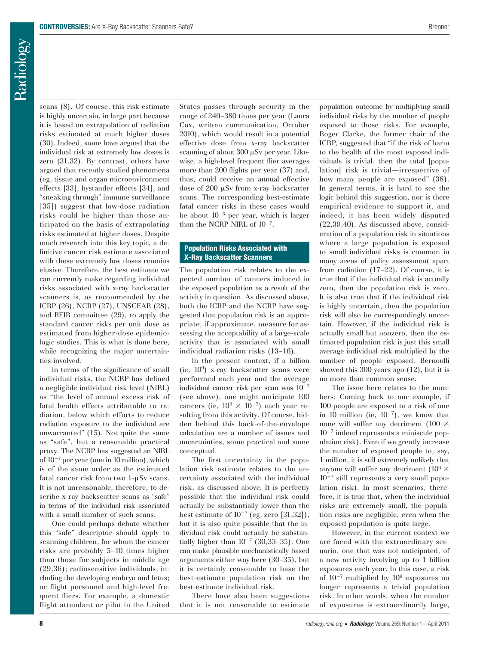Radiology

scans  $(8)$ . Of course, this risk estimate is highly uncertain, in large part because it is based on extrapolation of radiation risks estimated at much higher doses (30). Indeed, some have argued that the individual risk at extremely low doses is zero  $(31,32)$ . By contrast, others have argued that recently studied phenomena (eg, tissue and organ microenvironment effects [ 33] , bystander effects [ 34] , and "sneaking through" immune surveillance [35]) suggest that low-dose radiation risks could be higher than those anticipated on the basis of extrapolating risks estimated at higher doses. Despite much research into this key topic, a definitive cancer risk estimate associated with these extremely low doses remains elusive. Therefore, the best estimate we can currently make regarding individual risks associated with x-ray backscatter scanners is, as recommended by the ICRP (26), NCRP (27), UNSCEAR (28), and BEIR committee  $(29)$ , to apply the standard cancer risks per unit dose as estimated from higher-dose epidemiologic studies. This is what is done here, while recognizing the major uncertainties involved.

In terms of the significance of small individual risks, the NCRP has defined a negligible individual risk level (NIRL) as "the level of annual excess risk of fatal health effects attributable to radiation, below which efforts to reduce radiation exposure to the individual are unwarranted" (15). Not quite the same as "safe", but a reasonable practical proxy. The NCRP has suggested an NIRL of  $10^{-7}$  per year (one in 10 million), which is of the same order as the estimated fatal cancer risk from two  $1-\mu Sv$  scans. It is not unreasonable, therefore, to describe x-ray backscatter scans as "safe" in terms of the individual risk associated with a small number of such scans.

One could perhaps debate whether this "safe" descriptor should apply to scanning children, for whom the cancer risks are probably 5–10 times higher than those for subjects in middle age  $(29,36)$ ; radiosensitive individuals, including the developing embryo and fetus; or flight personnel and high-level frequent fliers. For example, a domestic flight attendant or pilot in the United States passes through security in the range of 240–380 times per year (Laura Cox, written communication, October 2010), which would result in a potential effective dose from x-ray backscatter scanning of about  $300 \mu Sv$  per year. Likewise, a high-level frequent flier averages more than 200 flights per year (37) and, thus, could receive an annual effective dose of  $200 \mu Sv$  from x-ray backscatter scans. The corresponding best-estimate fatal cancer risks in these cases would be about  $10^{-5}$  per year, which is larger than the NCRP NIRL of  $10^{-7}$ .

## **Population Risks Associated with X-Ray Backscatter Scanners**

The population risk relates to the expected number of cancers induced in the exposed population as a result of the activity in question. As discussed above, both the ICRP and the NCRP have suggested that population risk is an appropriate, if approximate, measure for assessing the acceptability of a large-scale activity that is associated with small individual radiation risks (13-16).

In the present context, if a billion (ie,  $10^9$ ) x-ray backscatter scans were performed each year and the average individual cancer risk per scan was  $10^{-7}$ (see above), one might anticipate 100 cancers (ie,  $10^9 \times 10^{-7}$ ) each year resulting from this activity. Of course, hidden behind this back-of-the-envelope calculation are a number of issues and uncertainties, some practical and some conceptual.

The first uncertainty in the population risk estimate relates to the uncertainty associated with the individual risk, as discussed above. It is perfectly possible that the individual risk could actually be substantially lower than the best estimate of  $10^{-7}$  (eg, zero [31,32]), but it is also quite possible that the individual risk could actually be substantially higher than  $10^{-7}$  (30,33–35). One can make plausible mechanistically based arguments either way here  $(30-35)$ , but it is certainly reasonable to base the best-estimate population risk on the best-estimate individual risk.

There have also been suggestions that it is not reasonable to estimate population outcome by multiplying small individual risks by the number of people exposed to those risks. For example, Roger Clarke, the former chair of the ICRP, suggested that "if the risk of harm to the health of the most exposed individuals is trivial, then the total [population] risk is trivial—irrespective of how many people are exposed" (38). In general terms, it is hard to see the logic behind this suggestion, nor is there empirical evidence to support it, and indeed, it has been widely disputed  $(22,39,40)$ . As discussed above, consideration of a population risk in situations where a large population is exposed to small individual risks is common in many areas of policy assessment apart from radiation  $(17-22)$ . Of course, it is true that if the individual risk is actually zero, then the population risk is zero. It is also true that if the individual risk is highly uncertain, then the population risk will also be correspondingly uncertain. However, if the individual risk is actually small but nonzero, then the estimated population risk is just this small average individual risk multiplied by the number of people exposed. Bernoulli showed this  $300$  years ago  $(12)$ , but it is no more than common sense.

The issue here relates to the numbers: Coming back to our example, if 100 people are exposed to a risk of one in 10 million (ie,  $10^{-7}$ ), we know that none will suffer any detriment (100  $\times$  $10^{-7}$  indeed represents a miniscule population risk). Even if we greatly increase the number of exposed people to, say, 1 million, it is still extremely unlikely that anyone will suffer any detriment  $(10^6 \times$  $10^{-7}$  still represents a very small population risk). In most scenarios, therefore, it is true that, when the individual risks are extremely small, the population risks are negligible, even when the exposed population is quite large.

However, in the current context we are faced with the extraordinary scenario, one that was not anticipated, of a new activity involving up to 1 billion exposures each year. In this case, a risk of  $10^{-7}$  multiplied by  $10^{9}$  exposures no longer represents a trivial population risk. In other words, when the number of exposures is extraordinarily large,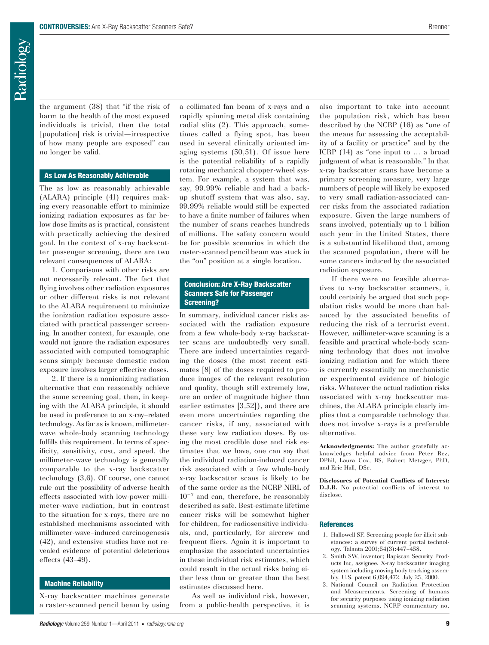the argument  $(38)$  that "if the risk of harm to the health of the most exposed individuals is trivial, then the total [population] risk is trivial—irrespective of how many people are exposed" can no longer be valid.

#### **As Low As Reasonably Achievable**

The as low as reasonably achievable (ALARA) principle (41) requires making every reasonable effort to minimize ionizing radiation exposures as far below dose limits as is practical, consistent with practically achieving the desired goal. In the context of x-ray backscatter passenger screening, there are two relevant consequences of ALARA:

1. Comparisons with other risks are not necessarily relevant. The fact that flying involves other radiation exposures or other different risks is not relevant to the ALARA requirement to minimize the ionization radiation exposure associated with practical passenger screening. In another context, for example, one would not ignore the radiation exposures associated with computed tomographic scans simply because domestic radon exposure involves larger effective doses.

2. If there is a nonionizing radiation alternative that can reasonably achieve the same screening goal, then, in keeping with the ALARA principle, it should be used in preference to an x-ray–related technology. As far as is known, millimeterwave whole-body scanning technology fulfills this requirement. In terms of specificity, sensitivity, cost, and speed, the millimeter-wave technology is generally comparable to the x-ray backscatter technology  $(3,6)$ . Of course, one cannot rule out the possibility of adverse health effects associated with low-power millimeter-wave radiation, but in contrast to the situation for x-rays, there are no established mechanisms associated with millimeter-wave–induced carcinogenesis  $(42)$ , and extensive studies have not revealed evidence of potential deleterious effects (43-49).

## **Machine Reliability**

X-ray backscatter machines generate a raster-scanned pencil beam by using a collimated fan beam of x-rays and a rapidly spinning metal disk containing radial slits  $(2)$ . This approach, sometimes called a flying spot, has been used in several clinically oriented imaging systems  $(50,51)$ . Of issue here is the potential reliability of a rapidly rotating mechanical chopper-wheel system. For example, a system that was, say, 99.99% reliable and had a backup shutoff system that was also, say, 99.99% reliable would still be expected to have a finite number of failures when the number of scans reaches hundreds of millions. The safety concern would be for possible scenarios in which the raster-scanned pencil beam was stuck in the "on" position at a single location.

## **Conclusion: Are X-Ray Backscatter Scanners Safe for Passenger Screening?**

In summary, individual cancer risks associated with the radiation exposure from a few whole-body x-ray backscatter scans are undoubtedly very small. There are indeed uncertainties regarding the doses (the most recent estimates [8] of the doses required to produce images of the relevant resolution and quality, though still extremely low, are an order of magnitude higher than earlier estimates  $[3,52]$ , and there are even more uncertainties regarding the cancer risks, if any, associated with these very low radiation doses. By using the most credible dose and risk estimates that we have, one can say that the individual radiation-induced cancer risk associated with a few whole-body x-ray backscatter scans is likely to be of the same order as the NCRP NIRL of  $10^{-7}$  and can, therefore, be reasonably described as safe. Best-estimate lifetime cancer risks will be somewhat higher for children, for radiosensitive individuals, and, particularly, for aircrew and frequent fliers. Again it is important to emphasize the associated uncertainties in these individual risk estimates, which could result in the actual risks being either less than or greater than the best estimates discussed here.

As well as individual risk, however, from a public-health perspective, it is

also important to take into account the population risk, which has been described by the NCRP (16) as "one of the means for assessing the acceptability of a facility or practice" and by the ICRP  $(14)$  as "one input to ... a broad judgment of what is reasonable." In that x-ray backscatter scans have become a primary screening measure, very large numbers of people will likely be exposed to very small radiation-associated cancer risks from the associated radiation exposure. Given the large numbers of scans involved, potentially up to 1 billion each year in the United States, there is a substantial likelihood that, among the scanned population, there will be some cancers induced by the associated radiation exposure.

If there were no feasible alternatives to x-ray backscatter scanners, it could certainly be argued that such population risks would be more than balanced by the associated benefits of reducing the risk of a terrorist event. However, millimeter-wave scanning is a feasible and practical whole-body scanning technology that does not involve ionizing radiation and for which there is currently essentially no mechanistic or experimental evidence of biologic risks. Whatever the actual radiation risks associated with x-ray backscatter machines, the ALARA principle clearly implies that a comparable technology that does not involve x-rays is a preferable alternative.

**Acknowledgments:** The author gratefully acknowledges helpful advice from Peter Rez, DPhil, Laura Cox, BS, Robert Metzger, PhD, and Eric Hall, DSc.

**Disclosures of Potential Conflicts of Interest: D.J.B.** No potential conflicts of interest to disclose.

#### **References**

- 1 . Hallowell SF . Screening people for illicit substances: a survey of current portal technology. Talanta 2001;54(3):447-458.
- 2. Smith SW, inventor; Rapiscan Security Products Inc, assignee. X-ray backscatter imaging system including moving body tracking assembly. U.S. patent 6,094,472. July 25, 2000.
- 3 . National Council on Radiation Protection and Measurements . Screening of humans for security purposes using ionizing radiation scanning systems. NCRP commentary no.